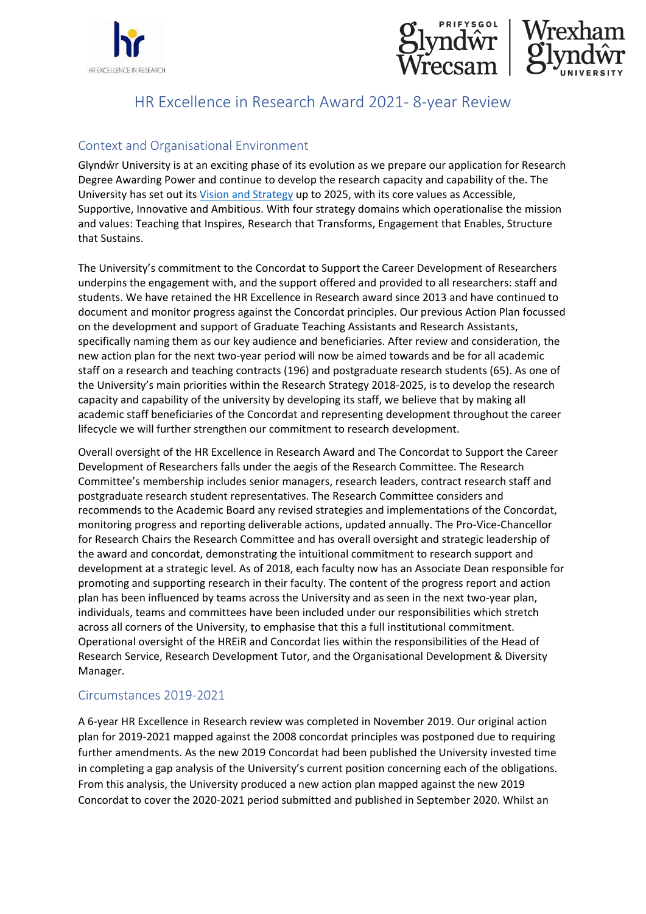



# HR Excellence in Research Award 2021- 8-year Review

# Context and Organisational Environment

Glyndŵr University is at an exciting phase of its evolution as we prepare our application for Research Degree Awarding Power and continue to develop the research capacity and capability of the. The University has set out its [Vision and Strategy](https://e.issuu.com/embed.html?d=strategy_2025_new_2021__3_&hideIssuuLogo=true&u=glyndwruni2020) up to 2025, with its core values as Accessible, Supportive, Innovative and Ambitious. With four strategy domains which operationalise the mission and values: Teaching that Inspires, Research that Transforms, Engagement that Enables, Structure that Sustains.

The University's commitment to the Concordat to Support the Career Development of Researchers underpins the engagement with, and the support offered and provided to all researchers: staff and students. We have retained the HR Excellence in Research award since 2013 and have continued to document and monitor progress against the Concordat principles. Our previous Action Plan focussed on the development and support of Graduate Teaching Assistants and Research Assistants, specifically naming them as our key audience and beneficiaries. After review and consideration, the new action plan for the next two-year period will now be aimed towards and be for all academic staff on a research and teaching contracts (196) and postgraduate research students (65). As one of the University's main priorities within the Research Strategy 2018-2025, is to develop the research capacity and capability of the university by developing its staff, we believe that by making all academic staff beneficiaries of the Concordat and representing development throughout the career lifecycle we will further strengthen our commitment to research development.

Overall oversight of the HR Excellence in Research Award and The Concordat to Support the Career Development of Researchers falls under the aegis of the Research Committee. The Research Committee's membership includes senior managers, research leaders, contract research staff and postgraduate research student representatives. The Research Committee considers and recommends to the Academic Board any revised strategies and implementations of the Concordat, monitoring progress and reporting deliverable actions, updated annually. The Pro-Vice-Chancellor for Research Chairs the Research Committee and has overall oversight and strategic leadership of the award and concordat, demonstrating the intuitional commitment to research support and development at a strategic level. As of 2018, each faculty now has an Associate Dean responsible for promoting and supporting research in their faculty. The content of the progress report and action plan has been influenced by teams across the University and as seen in the next two-year plan, individuals, teams and committees have been included under our responsibilities which stretch across all corners of the University, to emphasise that this a full institutional commitment. Operational oversight of the HREiR and Concordat lies within the responsibilities of the Head of Research Service, Research Development Tutor, and the Organisational Development & Diversity Manager.

## Circumstances 2019-2021

A 6-year HR Excellence in Research review was completed in November 2019. Our original action plan for 2019-2021 mapped against the 2008 concordat principles was postponed due to requiring further amendments. As the new 2019 Concordat had been published the University invested time in completing a gap analysis of the University's current position concerning each of the obligations. From this analysis, the University produced a new action plan mapped against the new 2019 Concordat to cover the 2020-2021 period submitted and published in September 2020. Whilst an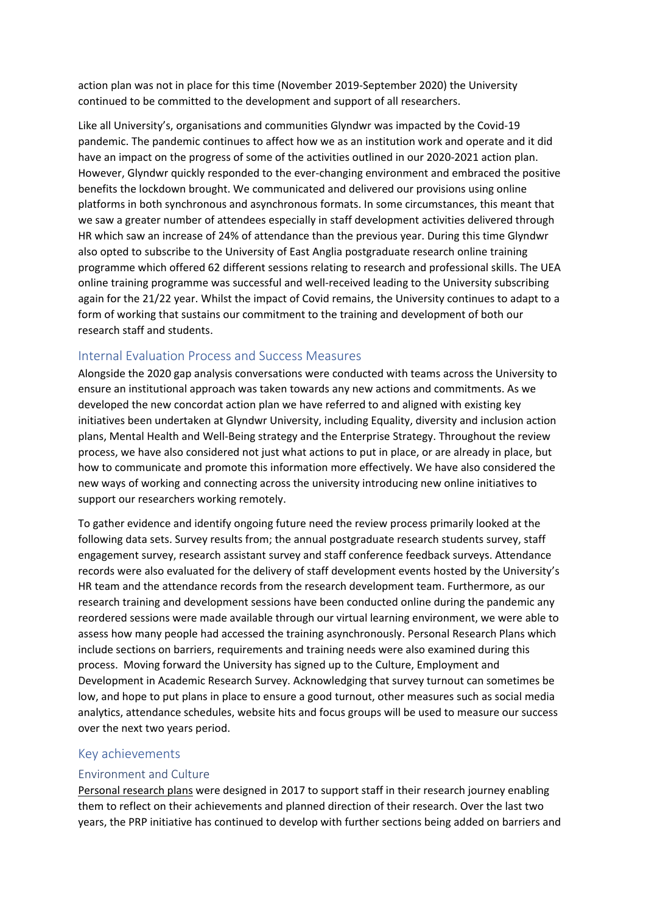action plan was not in place for this time (November 2019-September 2020) the University continued to be committed to the development and support of all researchers.

Like all University's, organisations and communities Glyndwr was impacted by the Covid-19 pandemic. The pandemic continues to affect how we as an institution work and operate and it did have an impact on the progress of some of the activities outlined in our 2020-2021 action plan. However, Glyndwr quickly responded to the ever-changing environment and embraced the positive benefits the lockdown brought. We communicated and delivered our provisions using online platforms in both synchronous and asynchronous formats. In some circumstances, this meant that we saw a greater number of attendees especially in staff development activities delivered through HR which saw an increase of 24% of attendance than the previous year. During this time Glyndwr also opted to subscribe to the University of East Anglia postgraduate research online training programme which offered 62 different sessions relating to research and professional skills. The UEA online training programme was successful and well-received leading to the University subscribing again for the 21/22 year. Whilst the impact of Covid remains, the University continues to adapt to a form of working that sustains our commitment to the training and development of both our research staff and students.

# Internal Evaluation Process and Success Measures

Alongside the 2020 gap analysis conversations were conducted with teams across the University to ensure an institutional approach was taken towards any new actions and commitments. As we developed the new concordat action plan we have referred to and aligned with existing key initiatives been undertaken at Glyndwr University, including Equality, diversity and inclusion action plans, Mental Health and Well-Being strategy and the Enterprise Strategy. Throughout the review process, we have also considered not just what actions to put in place, or are already in place, but how to communicate and promote this information more effectively. We have also considered the new ways of working and connecting across the university introducing new online initiatives to support our researchers working remotely.

To gather evidence and identify ongoing future need the review process primarily looked at the following data sets. Survey results from; the annual postgraduate research students survey, staff engagement survey, research assistant survey and staff conference feedback surveys. Attendance records were also evaluated for the delivery of staff development events hosted by the University's HR team and the attendance records from the research development team. Furthermore, as our research training and development sessions have been conducted online during the pandemic any reordered sessions were made available through our virtual learning environment, we were able to assess how many people had accessed the training asynchronously. Personal Research Plans which include sections on barriers, requirements and training needs were also examined during this process. Moving forward the University has signed up to the Culture, Employment and Development in Academic Research Survey. Acknowledging that survey turnout can sometimes be low, and hope to put plans in place to ensure a good turnout, other measures such as social media analytics, attendance schedules, website hits and focus groups will be used to measure our success over the next two years period.

## Key achievements

#### Environment and Culture

Personal research plans were designed in 2017 to support staff in their research journey enabling them to reflect on their achievements and planned direction of their research. Over the last two years, the PRP initiative has continued to develop with further sections being added on barriers and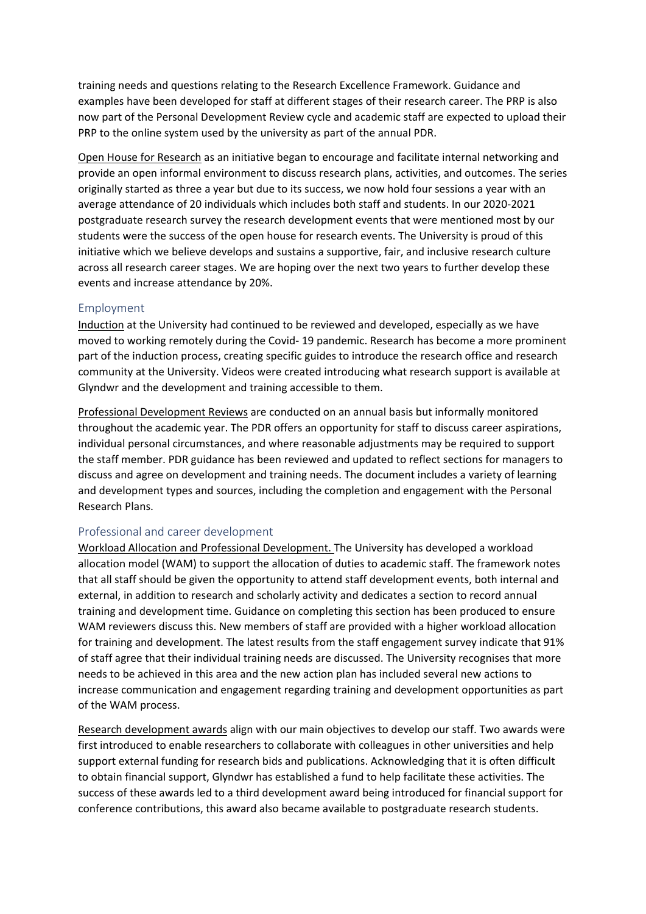training needs and questions relating to the Research Excellence Framework. Guidance and examples have been developed for staff at different stages of their research career. The PRP is also now part of the Personal Development Review cycle and academic staff are expected to upload their PRP to the online system used by the university as part of the annual PDR.

Open House for Research as an initiative began to encourage and facilitate internal networking and provide an open informal environment to discuss research plans, activities, and outcomes. The series originally started as three a year but due to its success, we now hold four sessions a year with an average attendance of 20 individuals which includes both staff and students. In our 2020-2021 postgraduate research survey the research development events that were mentioned most by our students were the success of the open house for research events. The University is proud of this initiative which we believe develops and sustains a supportive, fair, and inclusive research culture across all research career stages. We are hoping over the next two years to further develop these events and increase attendance by 20%.

#### Employment

Induction at the University had continued to be reviewed and developed, especially as we have moved to working remotely during the Covid- 19 pandemic. Research has become a more prominent part of the induction process, creating specific guides to introduce the research office and research community at the University. Videos were created introducing what research support is available at Glyndwr and the development and training accessible to them.

Professional Development Reviews are conducted on an annual basis but informally monitored throughout the academic year. The PDR offers an opportunity for staff to discuss career aspirations, individual personal circumstances, and where reasonable adjustments may be required to support the staff member. PDR guidance has been reviewed and updated to reflect sections for managers to discuss and agree on development and training needs. The document includes a variety of learning and development types and sources, including the completion and engagement with the Personal Research Plans.

#### Professional and career development

Workload Allocation and Professional Development. The University has developed a workload allocation model (WAM) to support the allocation of duties to academic staff. The framework notes that all staff should be given the opportunity to attend staff development events, both internal and external, in addition to research and scholarly activity and dedicates a section to record annual training and development time. Guidance on completing this section has been produced to ensure WAM reviewers discuss this. New members of staff are provided with a higher workload allocation for training and development. The latest results from the staff engagement survey indicate that 91% of staff agree that their individual training needs are discussed. The University recognises that more needs to be achieved in this area and the new action plan has included several new actions to increase communication and engagement regarding training and development opportunities as part of the WAM process.

Research development awards align with our main objectives to develop our staff. Two awards were first introduced to enable researchers to collaborate with colleagues in other universities and help support external funding for research bids and publications. Acknowledging that it is often difficult to obtain financial support, Glyndwr has established a fund to help facilitate these activities. The success of these awards led to a third development award being introduced for financial support for conference contributions, this award also became available to postgraduate research students.